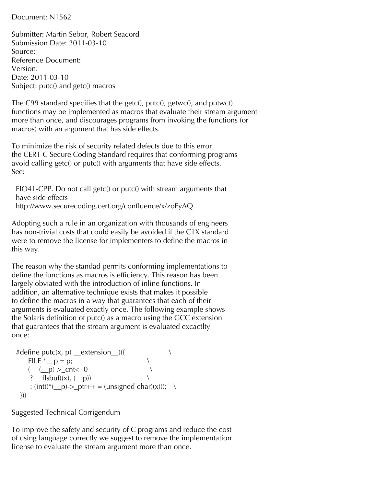Document: N1562

Submitter: Martin Sebor, Robert Seacord Submission Date: 2011-03-10 Source: Reference Document: Version: Date: 2011-03-10 Subject: putc() and getc() macros

The C99 standard specifies that the getc(), putc(), getwc(), and putwc() functions may be implemented as macros that evaluate their stream argument more than once, and discourages programs from invoking the functions (or macros) with an argument that has side effects.

To minimize the risk of security related defects due to this error the CERT C Secure Coding Standard requires that conforming programs avoid calling getc() or putc() with arguments that have side effects. See:

FIO41-CPP. Do not call getc() or putc() with stream arguments that have side effects http://www.securecoding.cert.org/confluence/x/zoEyAQ

Adopting such a rule in an organization with thousands of engineers has non-trivial costs that could easily be avoided if the C1X standard were to remove the license for implementers to define the macros in this way.

The reason why the standad permits conforming implementations to define the functions as macros is efficiency. This reason has been largely obviated with the introduction of inline functions. In addition, an alternative technique exists that makes it possible to define the macros in a way that guarantees that each of their arguments is evaluated exactly once. The following example shows the Solaris definition of putc() as a macro using the GCC extension that guarantees that the stream argument is evaluated excactlty once:

```
#define putc(x, p) __extension__(({ \qquad \qquad \setminusFILE ^* p = p;
  (-(-p)-2cnt < 0)? _{\text{flsbuf}}(x), _{\text{p}}): (int)(*(_p)->_ptr++ = (unsigned char)(x))); \
}))
```
Suggested Technical Corrigendum

To improve the safety and security of C programs and reduce the cost of using language correctly we suggest to remove the implementation license to evaluate the stream argument more than once.